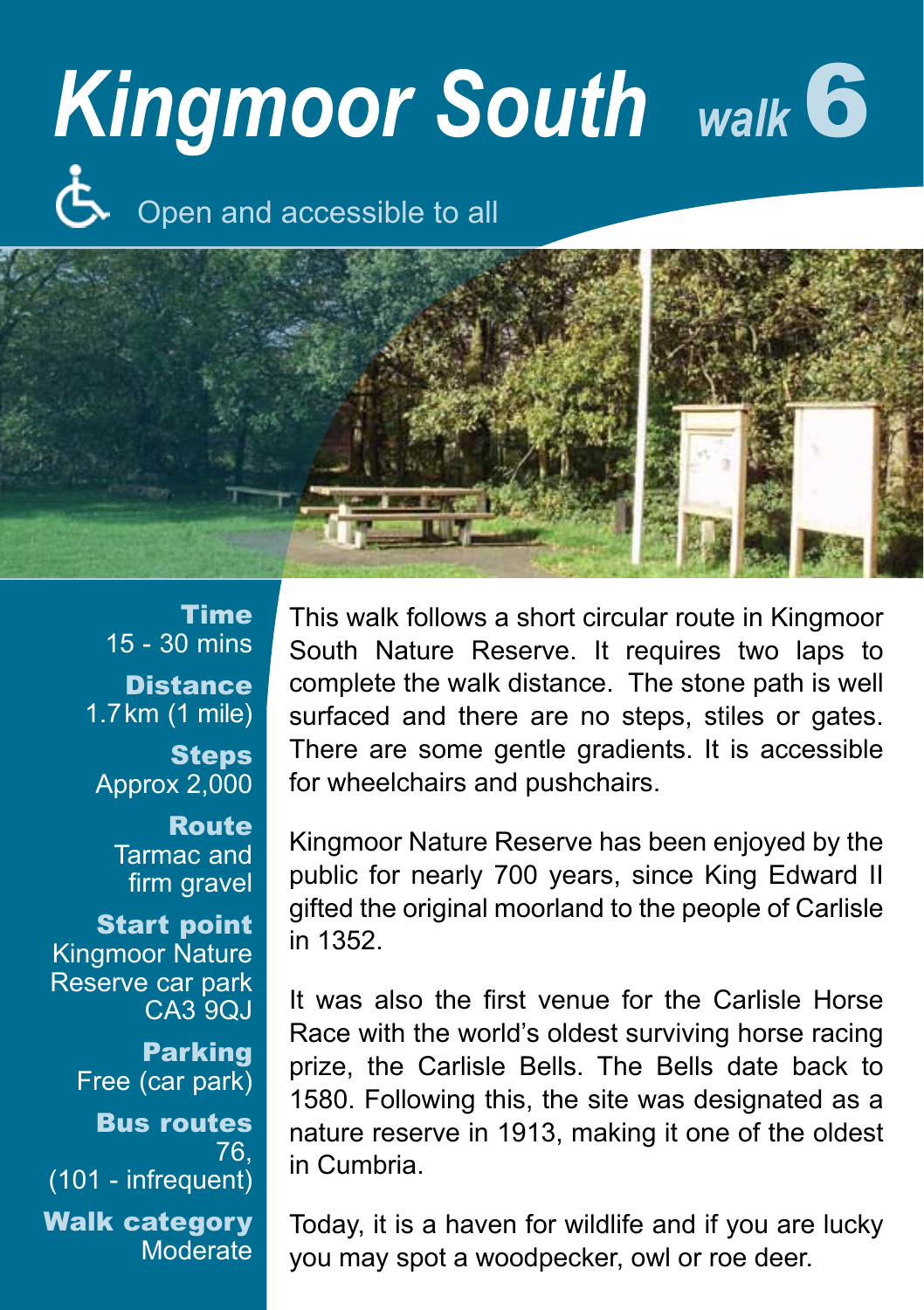## *Kingmoor South walk* 6

Open and accessible to all



Time 15 - 30 mins **Distance** 1.7km (1 mile) **Steps** Approx 2,000 Route Tarmac and firm gravel Start point Kingmoor Nature Reserve car park CA3 9QJ Parking Free (car park) Bus routes 76, (101 - infrequent) Walk category Moderate

This walk follows a short circular route in Kingmoor South Nature Reserve. It requires two laps to complete the walk distance. The stone path is well surfaced and there are no steps, stiles or gates. There are some gentle gradients. It is accessible for wheelchairs and pushchairs.

Kingmoor Nature Reserve has been enjoyed by the public for nearly 700 years, since King Edward II gifted the original moorland to the people of Carlisle in 1352.

It was also the first venue for the Carlisle Horse Race with the world's oldest surviving horse racing prize, the Carlisle Bells. The Bells date back to 1580. Following this, the site was designated as a nature reserve in 1913, making it one of the oldest in Cumbria.

Today, it is a haven for wildlife and if you are lucky you may spot a woodpecker, owl or roe deer.